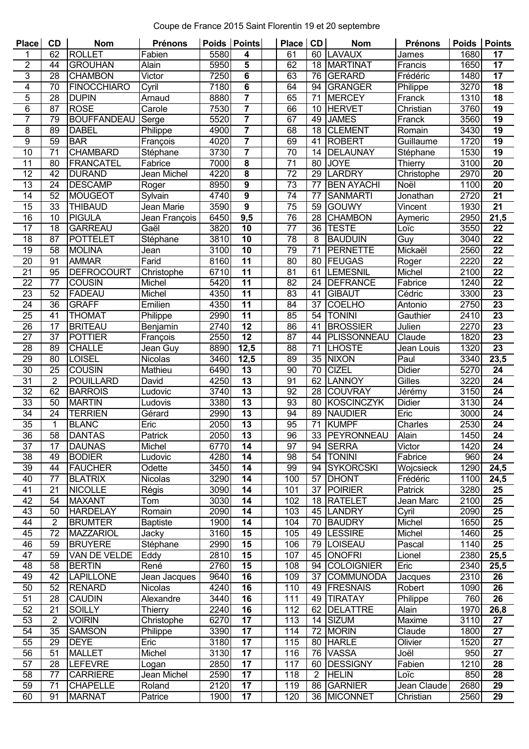## Coupe de France 2015 Saint Florentin 19 et 20 septembre

| <b>Place</b>    | <b>CD</b>       | <b>Nom</b>          | Prénons         | Poids             | <b>Points</b>           | <b>Place</b>    | CD             | <b>Nom</b>            | <b>Prénons</b> | Poids | <b>Points</b>   |
|-----------------|-----------------|---------------------|-----------------|-------------------|-------------------------|-----------------|----------------|-----------------------|----------------|-------|-----------------|
| 1               | 62              | <b>ROLLET</b>       | Fabien          | 5580              | 4                       | 61              | 60             | <b>LAVAUX</b>         | James          | 1680  | 17              |
| $\overline{2}$  | 44              | <b>GROUHAN</b>      | Alain           | 5950              | 5                       | 62              | 18             | <b>MARTINAT</b>       | Francis        | 1650  | 17              |
| 3               | 28              | <b>CHAMBON</b>      | Victor          | 7250              | 6                       | 63              | 76             | <b>GERARD</b>         | Frédéric       | 1480  | 17              |
| $\overline{4}$  | 70              | <b>FINOCCHIARO</b>  | Cyril           | 7180              | 6                       | 64              | 94             | <b>GRANGER</b>        | Philippe       | 3270  | 18              |
| $\overline{5}$  | 28              | <b>DUPIN</b>        | Arnaud          | 8880              | $\overline{7}$          | 65              | 71             | <b>MERCEY</b>         | Franck         | 1310  | 18              |
| $\overline{6}$  | $\overline{87}$ | <b>ROSE</b>         | Carole          | 7530              | 7                       | 66              | 10             | <b>HERVET</b>         | Christian      | 3760  | $\overline{19}$ |
| 7               | 79              | <b>BOUFFANDEAU</b>  | Serge           | 5520              | $\overline{\mathbf{7}}$ | 67              | 49             | <b>JAMES</b>          | Franck         | 3560  | $\overline{19}$ |
| 8               | 89              | <b>DABEL</b>        | Philippe        | 4900              | $\overline{7}$          | 68              | 18             | <b>CLEMENT</b>        | Romain         | 3430  | 19              |
| $\overline{9}$  | 59              | <b>BAR</b>          | François        | 4020              | $\overline{7}$          | 69              | 41             | <b>ROBERT</b>         | Guillaume      | 1720  | 19              |
| 10              | $\overline{71}$ | <b>CHAMBARD</b>     | Stéphane        | 3730              | 7                       | $\overline{70}$ | 14             | <b>DELAUNAY</b>       | Stéphane       | 1530  | $\overline{19}$ |
| 11              | 80              | <b>FRANCATEL</b>    | Fabrice         | 7000              | 8                       | 71              | 80             | <b>JOYE</b>           | <b>Thierry</b> | 3100  | 20              |
| $\overline{12}$ | $\overline{42}$ | <b>DURAND</b>       | Jean Michel     | 4220              | $\overline{\mathbf{8}}$ | $\overline{72}$ | 29             | <b>LARDRY</b>         | Christophe     | 2970  | $\overline{20}$ |
| $\overline{13}$ | 24              | <b>DESCAMP</b>      | Roger           | 8950              | 9                       | $\overline{73}$ | 77             | <b>BEN AYACHI</b>     | Noël           | 1100  | $\overline{20}$ |
| 14              | 52              | <b>MOUGEOT</b>      | Sylvain         | 4740              | 9                       | 74              | 77             | <b>SANMARTI</b>       | Jonathan       | 2720  | 21              |
| $\overline{15}$ | $\overline{33}$ | <b>THIBAUD</b>      | Jean Marie      | 3590              | $\overline{9}$          | $\overline{75}$ | 59             | <b>GOUWY</b>          | Vincent        | 1930  | $\overline{21}$ |
|                 |                 |                     |                 |                   |                         |                 |                |                       |                |       |                 |
| 16              | 10              | <b>PIGULA</b>       | Jean François   | 6450              | 9,5                     | 76              | 28             | <b>CHAMBON</b>        | Aymeric        | 2950  | 21,5            |
| 17              | 18              | <b>GARREAU</b>      | Gaël            | 3820              | 10                      | $\overline{77}$ | 36             | <b>TESTE</b>          | Loïc           | 3550  | 22              |
| $\overline{18}$ | $\overline{87}$ | <b>POTTELET</b>     | Stéphane        | 3810              | $\overline{10}$         | 78              | 8              | <b>BAUDUIN</b>        | Guy            | 3040  | $\overline{22}$ |
| $\overline{19}$ | 58              | <b>MOLINA</b>       | Jean            | 3100              | $\overline{10}$         | 79              | 71             | <b>PERNETTE</b>       | Mickaël        | 2560  | $\overline{22}$ |
| 20              | 91              | <b>AMMAR</b>        | Farid           | 8160              | $\overline{11}$         | 80              | 80             | FEUGAS                | Roger          | 2220  | $\overline{22}$ |
| $\overline{21}$ | 95              | <b>DEFROCOURT</b>   | Christophe      | 6710              | $\overline{11}$         | $\overline{81}$ | 61             | <b>LEMESNIL</b>       | Michel         | 2100  | $\overline{22}$ |
| 22              | 77              | <b>COUSIN</b>       | Michel          | 5420              | $\overline{11}$         | 82              | 24             | <b>DEFRANCE</b>       | Fabrice        | 1240  | 22              |
| 23              | 52              | <b>FADEAU</b>       | Michel          | 4350              | 11                      | 83              | 41             | <b>GIBAUT</b>         | Cédric         | 3300  | 23              |
| $\overline{24}$ | $\overline{36}$ | <b>GRAFF</b>        | Emilien         | 4350              | $\overline{11}$         | $\overline{84}$ | 37             | <b>COELHO</b>         | Antonio        | 2750  | $\overline{23}$ |
| 25              | 41              | <b>THOMAT</b>       | Philippe        | 2990              | $\overline{11}$         | 85              | 54             | <b>TONINI</b>         | Gauthier       | 2410  | 23              |
| 26              | 17              | <b>BRITEAU</b>      | Benjamin        | 2740              | 12                      | 86              | 41             | <b>BROSSIER</b>       | Julien         | 2270  | $\overline{23}$ |
| $\overline{27}$ | $\overline{37}$ | <b>POTTIER</b>      | François        | 2550              | 12                      | $\overline{87}$ | 44             | PLISSONNEAU           | Claude         | 1820  | $\overline{23}$ |
| 28              | 89              | <b>CHALLE</b>       | Jean Guy        | 8890              | 12,5                    | 88              | 71             | <b>LHOSTE</b>         | Jean Louis     | 1320  | $\overline{23}$ |
| 29              | 80              | <b>LOISEL</b>       | <b>Nicolas</b>  | 3460              | 12,5                    | 89              | 35             | <b>NIXON</b>          | Paul           | 3340  | 23,5            |
| $\overline{30}$ | $\overline{25}$ | <b>COUSIN</b>       | Mathieu         | 6490              | $\overline{13}$         | $\overline{90}$ | 70             | <b>CIZEL</b>          | <b>Didier</b>  | 5270  | $\overline{24}$ |
| 31              | $\overline{2}$  | <b>POUILLARD</b>    | David           | 4250              | $\overline{13}$         | 91              | 62             | <b>LANNOY</b>         | Gilles         | 3220  | 24              |
| $\overline{32}$ | 62              | <b>BARROIS</b>      | Ludovic         | 3740              | 13                      | 92              | 28             | <b>COUVRAY</b>        | Jérémy         | 3150  | $\overline{24}$ |
| $\overline{33}$ | 50              | <b>MARTIN</b>       | Ludovis         | 3380              | 13                      | 93              | 80             | <b>KOSCINCZYK</b>     | <b>Didier</b>  | 3130  | $\overline{24}$ |
| 34              | 24              | <b>TERRIEN</b>      | Gérard          | 2990              | 13                      | 94              | 89             | <b>NAUDIER</b>        | Eric           | 3000  | 24              |
| $\overline{35}$ | 1               | <b>BLANC</b>        | Eric            | 2050              | $\overline{13}$         | 95              | 71             | <b>KUMPF</b>          | Charles        | 2530  | $\overline{24}$ |
| 36              | 58              | <b>DANTAS</b>       | Patrick         | 2050              | $\overline{13}$         | 96              |                | 33 <b>IPEYRONNEAU</b> | Alain          | 1450  | 24              |
| 37              | 17              | <b>DAUNAS</b>       | Michel          | 6770              | 14                      | 97              | 94             | <b>SERRA</b>          | Victor         | 1420  | 24              |
| 38              | 49              | <b>BODIER</b>       | Ludovic         | 4280              | 14                      | 98              | 54             | <b>TONINI</b>         | Fabrice        | 960   | 24              |
|                 |                 |                     |                 |                   |                         |                 |                |                       |                |       |                 |
| 39              | 44              | <b>FAUCHER</b>      | Odette          | 3450              | 14                      | 99              | 94             | <b>SYKORCSKI</b>      | Wojcsieck      | 1290  | 24,5            |
| 40              | 77              | <b>BLATRIX</b>      | Nicolas         | 3290              | 14                      | 100             | 57             | <b>DHONT</b>          | Frédéric       | 1100  | 24,5            |
| 41              | 21              | <b>NICOLLE</b>      | Régis           | 3090              | 14                      | 101             | 37             | <b>POIRIER</b>        | Patrick        | 3280  | 25              |
| 42              | 54              | <b>MAXANT</b>       | Tom             | 3030              | 14                      | 102             | 18             | <b>RATELET</b>        | Jean Marc      | 2100  | 25              |
| 43              | 50              | <b>HARDELAY</b>     | Romain          | $20\overline{90}$ | $\overline{14}$         | 103             | 45             | <b>LANDRY</b>         | Cyril          | 2090  | $\overline{25}$ |
| 44              | $\overline{2}$  | <b>BRUMTER</b>      | <b>Baptiste</b> | 1900              | 14                      | 104             | 70             | <b>BAUDRY</b>         | Michel         | 1650  | 25              |
| 45              | 72              | <b>MAZZARIOL</b>    | Jacky           | 3160              | 15                      | 105             | 49             | <b>LESSIRE</b>        | Michel         | 1460  | 25              |
| 46              | 59              | <b>BRUYERE</b>      | Stéphane        | 2990              | $\overline{15}$         | 106             | 79             | <b>LOISEAU</b>        | Pascal         | 1140  | 25              |
| 47              | 59              | <b>VAN DE VELDE</b> | Eddy            | 2810              | $\overline{15}$         | 107             | 45             | <b>ONOFRI</b>         | Lionel         | 2380  | 25,5            |
| 48              | 58              | <b>BERTIN</b>       | René            | 2760              | 15                      | 108             | 94             | <b>COLOIGNIER</b>     | Eric           | 2340  | 25,5            |
| 49              | 42              | <b>LAPILLONE</b>    | Jean Jacques    | 9640              | 16                      | 109             | 37             | <b>COMMUNODA</b>      | Jacques        | 2310  | 26              |
| 50              | 52              | <b>RENARD</b>       | Nicolas         | 4240              | $\overline{16}$         | 110             | 49             | <b>FRESNAIS</b>       | Robert         | 1090  | 26              |
| 51              | 28              | <b>CAUDIN</b>       | Alexandre       | 3440              | 16                      | 111             | 49             | <b>TIRATAY</b>        | Philippe       | 760   | 26              |
| 52              | 21              | <b>SOILLY</b>       | Thierry         | 2240              | $\overline{16}$         | 112             | 62             | <b>DELATTRE</b>       | Alain          | 1970  | 26,8            |
| 53              | 2               | <b>VOIRIN</b>       | Christophe      | 6270              | $\overline{17}$         | 113             | 14             | <b>SIZUM</b>          | <b>Maxime</b>  | 3110  | 27              |
| 54              | 35              | <b>SAMSON</b>       | Philippe        | 3390              | 17                      | 114             | 72             | <b>MORIN</b>          | Claude         | 1800  | 27              |
| 55              | $\overline{29}$ | <b>DEYE</b>         | Eric            | 3180              | $\overline{17}$         | 115             | 80             | <b>HARLE</b>          | Olivier        | 1520  | $\overline{27}$ |
| 56              | 51              | <b>MALLET</b>       | Michel          | 3130              | 17                      | 116             | 76             | <b>VASSA</b>          | Joël           | 950   | 27              |
| 57              | 28              | <b>LEFEVRE</b>      | Logan           | 2850              | 17                      | 117             | 60             | <b>DESSIGNY</b>       | Fabien         | 1210  | 28              |
| $\overline{58}$ | 77              | <b>CARRIERE</b>     | Jean Michel     | 2590              | $\overline{17}$         | 118             | $\overline{2}$ | <b>HELIN</b>          | Loïc           | 850   | 28              |
| 59              | 71              | <b>CHAPELLE</b>     | Roland          | 2120              | 17                      | 119             | 86             | <b>GARNIER</b>        | Jean Claude    | 2680  | 29              |
| 60              | 91              | <b>MARNAT</b>       | Patrice         | 1900              | 17                      | 120             | 36             | <b>MICONNET</b>       | Christian      | 2560  | 29              |
|                 |                 |                     |                 |                   |                         |                 |                |                       |                |       |                 |